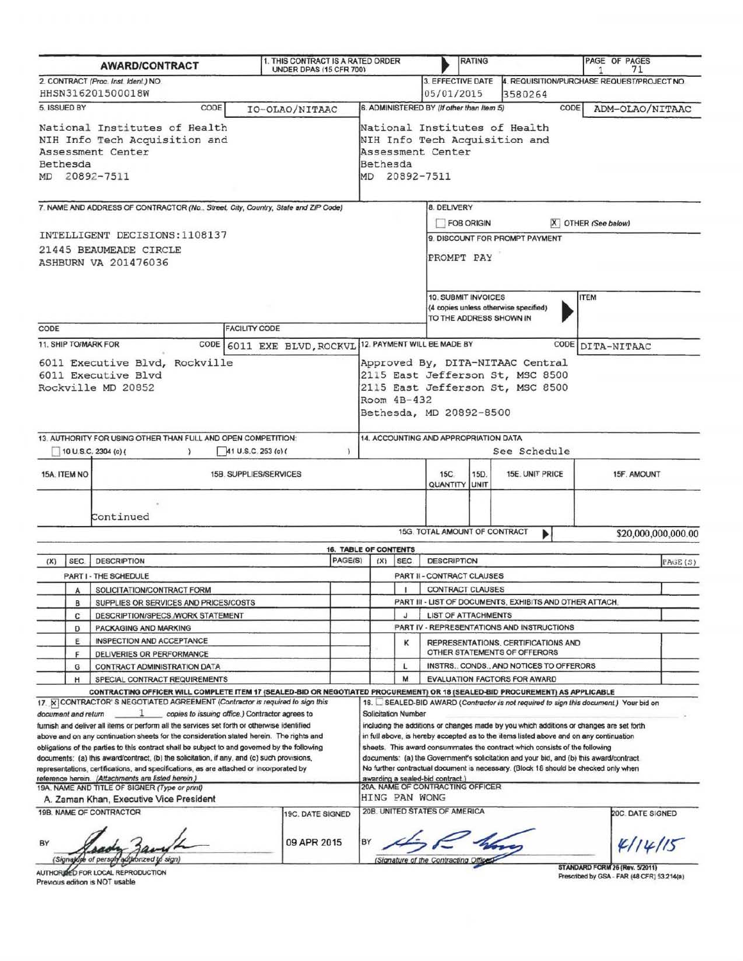|                                                                                                                  |        | <b>AWARD/CONTRACT</b>                                                                                                                                                                 | 1. THIS CONTRACT IS A RATED ORDER<br>UNDER DPAS (15 CFR 700)                                                     |                                                                                                                                                      |                                                                       |                                      |                                                                              | <b>RATING</b> |                                                                                                                                                                               | PAGE OF PAGES<br>71                                                                  |                     |  |
|------------------------------------------------------------------------------------------------------------------|--------|---------------------------------------------------------------------------------------------------------------------------------------------------------------------------------------|------------------------------------------------------------------------------------------------------------------|------------------------------------------------------------------------------------------------------------------------------------------------------|-----------------------------------------------------------------------|--------------------------------------|------------------------------------------------------------------------------|---------------|-------------------------------------------------------------------------------------------------------------------------------------------------------------------------------|--------------------------------------------------------------------------------------|---------------------|--|
|                                                                                                                  |        | 2. CONTRACT (Proc. Inst. Ident.) NO.<br>HHSN316201500018W                                                                                                                             |                                                                                                                  |                                                                                                                                                      |                                                                       |                                      | 3. EFFECTIVE DATE<br>05/01/2015                                              |               | 3580264                                                                                                                                                                       | 4. REQUISITION/PURCHASE REQUEST/PROJECT NO.                                          |                     |  |
| 5. ISSUED BY                                                                                                     |        | CODE                                                                                                                                                                                  | IO-OLAO/NITAAC                                                                                                   |                                                                                                                                                      |                                                                       |                                      | 6. ADMINISTERED BY (If other than Item 5)                                    |               | CODE                                                                                                                                                                          | ADM-OLAO/NITAAC                                                                      |                     |  |
| National Institutes of Health<br>NIH Info Tech Acquisition and<br>Assessment Center<br>Bethesda<br>MD 20892-7511 |        |                                                                                                                                                                                       | National Institutes of Health<br>NIH Info Tech Acquisition and<br>Assessment Center<br>Bethesda<br>MD 20892-7511 |                                                                                                                                                      |                                                                       |                                      |                                                                              |               |                                                                                                                                                                               |                                                                                      |                     |  |
|                                                                                                                  |        | 7. NAME AND ADDRESS OF CONTRACTOR (No., Street, City, Country, State and ZIP Code)                                                                                                    |                                                                                                                  |                                                                                                                                                      |                                                                       |                                      | <b>8. DELIVERY</b>                                                           |               |                                                                                                                                                                               |                                                                                      |                     |  |
|                                                                                                                  |        |                                                                                                                                                                                       |                                                                                                                  |                                                                                                                                                      |                                                                       |                                      | <b>FOB ORIGIN</b><br>X OTHER (See below)                                     |               |                                                                                                                                                                               |                                                                                      |                     |  |
| INTELLIGENT DECISIONS: 1108137<br>21445 BEAUMEADE CIRCLE<br><b>ASHBURN VA 201476036</b>                          |        |                                                                                                                                                                                       |                                                                                                                  | 9. DISCOUNT FOR PROMPT PAYMENT<br>PROMPT PAY                                                                                                         |                                                                       |                                      |                                                                              |               |                                                                                                                                                                               |                                                                                      |                     |  |
|                                                                                                                  |        |                                                                                                                                                                                       |                                                                                                                  |                                                                                                                                                      |                                                                       |                                      | 10. SUBMIT INVOICES<br>TO THE ADDRESS SHOWN IN                               |               | (4 copies unless otherwise specified)                                                                                                                                         | <b>ITEM</b>                                                                          |                     |  |
| CODE                                                                                                             |        | 11. SHIP TO/MARK FOR                                                                                                                                                                  | <b>FACILITY CODE</b><br>CODE 6011 EXE BLVD, ROCKVL                                                               |                                                                                                                                                      |                                                                       |                                      | 12. PAYMENT WILL BE MADE BY                                                  |               | CODE                                                                                                                                                                          | DITA-NITAAC                                                                          |                     |  |
| 6011 Executive Blvd, Rockville<br>6011 Executive Blvd<br>Rockville MD 20852                                      |        |                                                                                                                                                                                       |                                                                                                                  | Approved By, DITA-NITAAC Central<br>2115 East Jefferson St, MSC 8500<br>2115 East Jefferson St, MSC 8500<br>Room $4B-432$<br>Bethesda, MD 20892-8500 |                                                                       |                                      |                                                                              |               |                                                                                                                                                                               |                                                                                      |                     |  |
|                                                                                                                  |        | 13. AUTHORITY FOR USING OTHER THAN FULL AND OPEN COMPETITION:<br>10 U.S.C. 2304 (c) (<br>$\rightarrow$                                                                                | 41 U.S.C. 253 (c)                                                                                                |                                                                                                                                                      | 14. ACCOUNTING AND APPROPRIATION DATA<br>See Schedule                 |                                      |                                                                              |               |                                                                                                                                                                               |                                                                                      |                     |  |
| 15A. ITEM NO                                                                                                     |        | 15B. SUPPLIES/SERVICES                                                                                                                                                                |                                                                                                                  |                                                                                                                                                      |                                                                       |                                      | <b>15C</b><br>15D.<br>15E. UNIT PRICE<br>15F. AMOUNT<br><b>QUANTITY UNIT</b> |               |                                                                                                                                                                               |                                                                                      |                     |  |
|                                                                                                                  |        | Continued                                                                                                                                                                             |                                                                                                                  |                                                                                                                                                      |                                                                       |                                      | 15G. TOTAL AMOUNT OF CONTRACT                                                |               |                                                                                                                                                                               |                                                                                      |                     |  |
|                                                                                                                  |        |                                                                                                                                                                                       |                                                                                                                  |                                                                                                                                                      |                                                                       |                                      |                                                                              |               |                                                                                                                                                                               |                                                                                      | \$20,000,000,000.00 |  |
| (X)                                                                                                              | SEC.   | <b>DESCRIPTION</b>                                                                                                                                                                    |                                                                                                                  | PAGE(S)                                                                                                                                              | (X)                                                                   | <b>16. TABLE OF CONTENTS</b><br>SEC. | <b>DESCRIPTION</b><br>PAGE(S)                                                |               |                                                                                                                                                                               |                                                                                      |                     |  |
|                                                                                                                  |        | PART I - THE SCHEDULE                                                                                                                                                                 |                                                                                                                  |                                                                                                                                                      |                                                                       |                                      | PART II - CONTRACT CLAUSES                                                   |               |                                                                                                                                                                               |                                                                                      |                     |  |
|                                                                                                                  | A      | SOLICITATION/CONTRACT FORM                                                                                                                                                            |                                                                                                                  |                                                                                                                                                      |                                                                       |                                      | CONTRACT CLAUSES                                                             |               |                                                                                                                                                                               |                                                                                      |                     |  |
|                                                                                                                  | в      | SUPPLIES OR SERVICES AND PRICES/COSTS                                                                                                                                                 |                                                                                                                  |                                                                                                                                                      |                                                                       |                                      |                                                                              |               | PART III - LIST OF DOCUMENTS, EXHIBITS AND OTHER ATTACH.                                                                                                                      |                                                                                      |                     |  |
|                                                                                                                  | с      | DESCRIPTION/SPECS./WORK STATEMENT                                                                                                                                                     |                                                                                                                  |                                                                                                                                                      |                                                                       | J                                    | <b>LIST OF ATTACHMENTS</b>                                                   |               |                                                                                                                                                                               |                                                                                      |                     |  |
|                                                                                                                  | D      | PACKAGING AND MARKING                                                                                                                                                                 |                                                                                                                  |                                                                                                                                                      |                                                                       |                                      | PART IV - REPRESENTATIONS AND INSTRUCTIONS                                   |               |                                                                                                                                                                               |                                                                                      |                     |  |
|                                                                                                                  | Ε      | INSPECTION AND ACCEPTANCE                                                                                                                                                             |                                                                                                                  |                                                                                                                                                      |                                                                       | κ                                    |                                                                              |               | REPRESENTATIONS, CERTIFICATIONS AND                                                                                                                                           |                                                                                      |                     |  |
|                                                                                                                  | F<br>G | DELIVERIES OR PERFORMANCE<br>CONTRACT ADMINISTRATION DATA                                                                                                                             |                                                                                                                  |                                                                                                                                                      |                                                                       | L                                    |                                                                              |               | OTHER STATEMENTS OF OFFERORS<br>INSTRS., CONDS., AND NOTICES TO OFFERORS                                                                                                      |                                                                                      |                     |  |
| н                                                                                                                |        | SPECIAL CONTRACT REQUIREMENTS                                                                                                                                                         |                                                                                                                  |                                                                                                                                                      |                                                                       | M                                    |                                                                              |               | <b>EVALUATION FACTORS FOR AWARD</b>                                                                                                                                           |                                                                                      |                     |  |
|                                                                                                                  |        | CONTRACTING OFFICER WILL COMPLETE ITEM 17 (SEALED-BID OR NEGOTIATED PROCUREMENT) OR 18 (SEALED-BID PROCUREMENT) AS APPLICABLE                                                         |                                                                                                                  |                                                                                                                                                      |                                                                       |                                      |                                                                              |               |                                                                                                                                                                               |                                                                                      |                     |  |
|                                                                                                                  |        | 17  X CONTRACTOR'S NEGOTIATED AGREEMENT (Contractor is required to sign this                                                                                                          |                                                                                                                  |                                                                                                                                                      |                                                                       |                                      |                                                                              |               |                                                                                                                                                                               | 16. SEALED-BID AWARD (Contractor is not required to sign this document.) Your bid on |                     |  |
| document and return                                                                                              |        | furnish and deliver all items or perform all the services set forth or otherwise identified                                                                                           | copies to issuing office.) Contractor agrees to                                                                  |                                                                                                                                                      |                                                                       | <b>Solicitation Number</b>           |                                                                              |               | including the additions or changes made by you which additions or changes are set forth                                                                                       |                                                                                      |                     |  |
|                                                                                                                  |        | above and on any continuation sheets for the consideration stated herein. The rights and                                                                                              |                                                                                                                  |                                                                                                                                                      |                                                                       |                                      |                                                                              |               | in full above, is hereby accepted as to the items listed above and on any continuation                                                                                        |                                                                                      |                     |  |
|                                                                                                                  |        | obligations of the parties to this contract shall be subject to and governed by the following                                                                                         |                                                                                                                  |                                                                                                                                                      |                                                                       |                                      |                                                                              |               | sheets. This award consummates the contract which consists of the following                                                                                                   |                                                                                      |                     |  |
|                                                                                                                  |        | documents: (a) this award/contract, (b) the solicitation, if any, and (c) such provisions,<br>representations, certifications, and specifications, as are attached or incorporated by |                                                                                                                  |                                                                                                                                                      |                                                                       |                                      |                                                                              |               | documents: (a) the Government's solicitation and your bid, and (b) this award/contract<br>No further contractual document is necessary. (Block 18 should be checked only when |                                                                                      |                     |  |
|                                                                                                                  |        | reference herein. (Attachments are listed herein.)                                                                                                                                    |                                                                                                                  |                                                                                                                                                      |                                                                       |                                      | awarding a sealed-bid contract.)                                             |               |                                                                                                                                                                               |                                                                                      |                     |  |
|                                                                                                                  |        | 19A. NAME AND TITLE OF SIGNER (Type or print)                                                                                                                                         |                                                                                                                  |                                                                                                                                                      |                                                                       | HING PAN WONG                        | 20A. NAME OF CONTRACTING OFFICER                                             |               |                                                                                                                                                                               |                                                                                      |                     |  |
|                                                                                                                  |        | A. Zaman Khan, Executive Vice President                                                                                                                                               |                                                                                                                  |                                                                                                                                                      |                                                                       |                                      | 20B. UNITED STATES OF AMERICA                                                |               |                                                                                                                                                                               |                                                                                      |                     |  |
| 19B. NAME OF CONTRACTOR<br>19C. DATE SIGNED<br>09 APR 2015<br>BY<br>6 sign)                                      |        |                                                                                                                                                                                       |                                                                                                                  |                                                                                                                                                      | 20C. DATE SIGNED<br>4114/15<br>BY<br>(Signature of the Contracting Of |                                      |                                                                              |               |                                                                                                                                                                               |                                                                                      |                     |  |
| AUTHORI                                                                                                          |        | <b>ED FOR LOCAL REPRODUCTION</b>                                                                                                                                                      |                                                                                                                  |                                                                                                                                                      |                                                                       |                                      |                                                                              |               |                                                                                                                                                                               | <b>STANDARD FORM 26 (Rev. 5/2011)</b><br>Prescribed by GSA - FAR (48 CFR) 53.214(a)  |                     |  |

Previous edition is NOT usable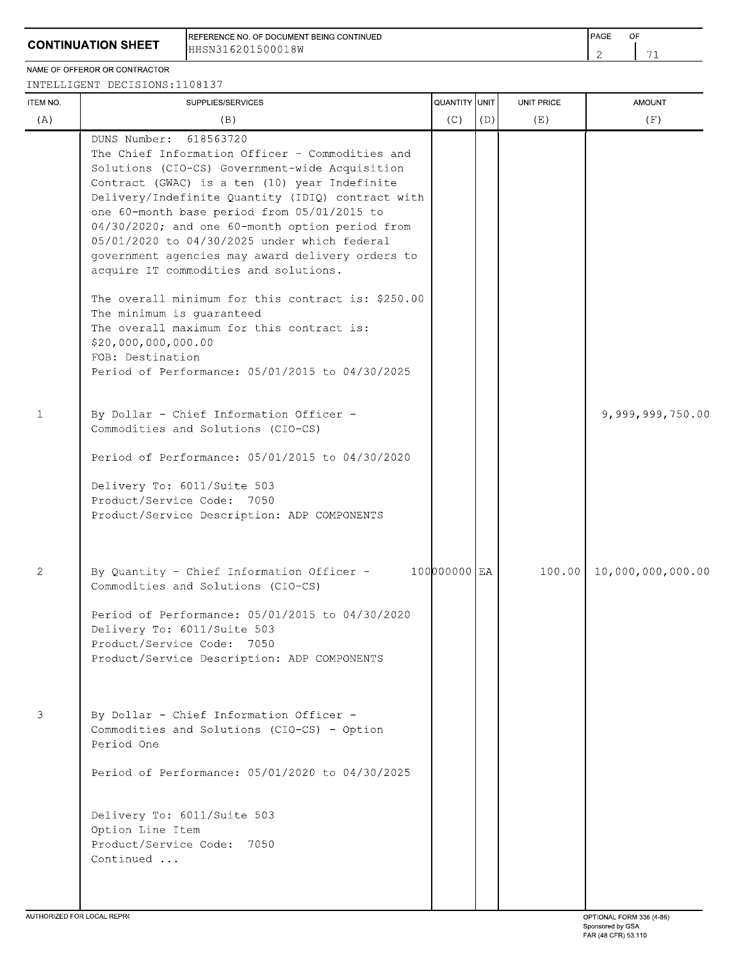REFERENCE NO. OF DOCUMENT BEING CONTINUED HHSN316201500018W

NAME OF OFFEROR OR CONTRACTOR

INTELLIGENT DECISIONS: 1108137

| <b>ITEM NO.</b> | SUPPLIES/SERVICES                                                                                                                                                                                                                                                                                                                                                                                                                                                                                                                                                                                                                                                                                              | QUANTITY UNIT |     | UNIT PRICE | <b>AMOUNT</b>     |
|-----------------|----------------------------------------------------------------------------------------------------------------------------------------------------------------------------------------------------------------------------------------------------------------------------------------------------------------------------------------------------------------------------------------------------------------------------------------------------------------------------------------------------------------------------------------------------------------------------------------------------------------------------------------------------------------------------------------------------------------|---------------|-----|------------|-------------------|
| (A)             | (B)                                                                                                                                                                                                                                                                                                                                                                                                                                                                                                                                                                                                                                                                                                            | (C)           | (D) | (E)        | (F)               |
|                 | DUNS Number: 618563720<br>The Chief Information Officer - Commodities and<br>Solutions (CIO-CS) Government-wide Acquisition<br>Contract (GWAC) is a ten (10) year Indefinite<br>Delivery/Indefinite Quantity (IDIQ) contract with<br>one 60-month base period from 05/01/2015 to<br>04/30/2020; and one 60-month option period from<br>05/01/2020 to 04/30/2025 under which federal<br>government agencies may award delivery orders to<br>acquire IT commodities and solutions.<br>The overall minimum for this contract is: \$250.00<br>The minimum is guaranteed<br>The overall maximum for this contract is:<br>\$20,000,000,000.00<br>FOB: Destination<br>Period of Performance: 05/01/2015 to 04/30/2025 |               |     |            |                   |
| 1               | By Dollar - Chief Information Officer -<br>Commodities and Solutions (CIO-CS)<br>Period of Performance: 05/01/2015 to 04/30/2020<br>Delivery To: 6011/Suite 503<br>Product/Service Code: 7050<br>Product/Service Description: ADP COMPONENTS                                                                                                                                                                                                                                                                                                                                                                                                                                                                   |               |     |            | 9,999,999,750.00  |
| $\mathbf{2}$    | By Quantity - Chief Information Officer -<br>Commodities and Solutions (CIO-CS)<br>Period of Performance: 05/01/2015 to 04/30/2020<br>Delivery To: 6011/Suite 503<br>Product/Service Code: 7050<br>Product/Service Description: ADP COMPONENTS                                                                                                                                                                                                                                                                                                                                                                                                                                                                 | 100000000 EA  |     | 100.00     | 10,000,000,000.00 |
| 3               | By Dollar - Chief Information Officer -<br>Commodities and Solutions (CIO-CS) - Option<br>Period One<br>Period of Performance: 05/01/2020 to 04/30/2025<br>Delivery To: 6011/Suite 503<br>Option Line Item<br>Product/Service Code: 7050<br>Continued                                                                                                                                                                                                                                                                                                                                                                                                                                                          |               |     |            |                   |